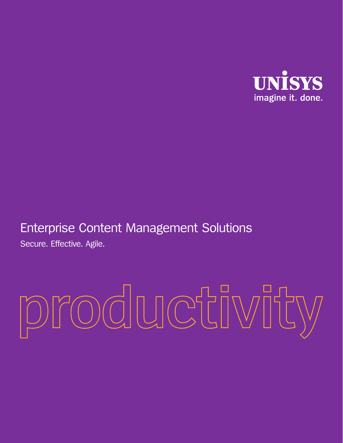

# Enterprise Content Management Solutions

Secure. Effective. Agile.

# productivity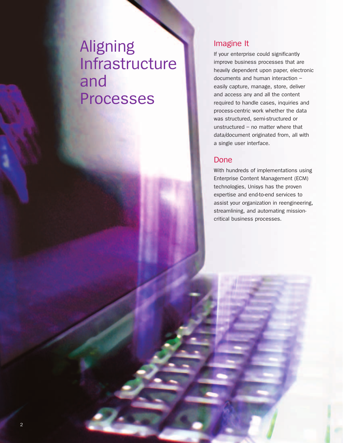# Aligning Infrastructure and Processes

#### Imagine It

If your enterprise could significantly improve business processes that are heavily dependent upon paper, electronic documents and human interaction – easily capture, manage, store, deliver and access any and all the content required to handle cases, inquiries and process-centric work whether the data was structured, semi-structured or unstructured – no matter where that data/document originated from, all with a single user interface.

#### Done

With hundreds of implementations using Enterprise Content Management (ECM) technologies, Unisys has the proven expertise and end-to-end services to assist your organization in reengineering, streamlining, and automating missioncritical business processes.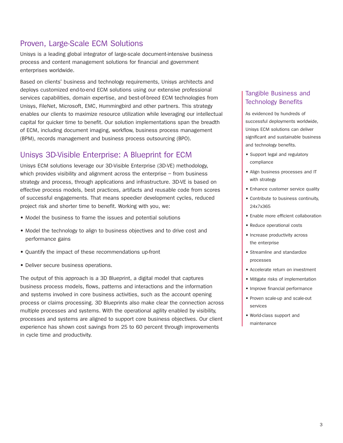### Proven, Large-Scale ECM Solutions

Unisys is a leading global integrator of large-scale document-intensive business process and content management solutions for financial and government enterprises worldwide.

Based on clients' business and technology requirements, Unisys architects and deploys customized end-to-end ECM solutions using our extensive professional services capabilities, domain expertise, and best-of-breed ECM technologies from Unisys, FileNet, Microsoft, EMC, Hummingbird and other partners. This strategy enables our clients to maximize resource utilization while leveraging our intellectual capital for quicker time to benefit. Our solution implementations span the breadth of ECM, including document imaging, workflow, business process management (BPM), records management and business process outsourcing (BPO).

## Unisys 3D-Visible Enterprise: A Blueprint for ECM

Unisys ECM solutions leverage our 3D-Visible Enterprise (3D-VE) methodology, which provides visibility and alignment across the enterprise – from business strategy and process, through applications and infrastructure. 3D-VE is based on effective process models, best practices, artifacts and reusable code from scores of successful engagements. That means speedier development cycles, reduced project risk and shorter time to benefit. Working with you, we:

- Model the business to frame the issues and potential solutions
- Model the technology to align to business objectives and to drive cost and performance gains
- Quantify the impact of these recommendations up-front
- Deliver secure business operations.

The output of this approach is a 3D Blueprint, a digital model that captures business process models, flows, patterns and interactions and the information and systems involved in core business activities, such as the account opening process or claims processing. 3D Blueprints also make clear the connection across multiple processes and systems. With the operational agility enabled by visibility, processes and systems are aligned to support core business objectives. Our client experience has shown cost savings from 25 to 60 percent through improvements in cycle time and productivity.

#### Tangible Business and Technology Benefits

As evidenced by hundreds of successful deployments worldwide, Unisys ECM solutions can deliver significant and sustainable business and technology benefits.

- Support legal and regulatory compliance
- Align business processes and IT with strategy
- Enhance customer service quality
- Contribute to business continuity, 24x7x365
- Enable more efficient collaboration
- Reduce operational costs
- Increase productivity across the enterprise
- Streamline and standardize processes
- Accelerate return on investment
- Mitigate risks of implementation
- Improve financial performance
- Proven scale-up and scale-out services
- World-class support and maintenance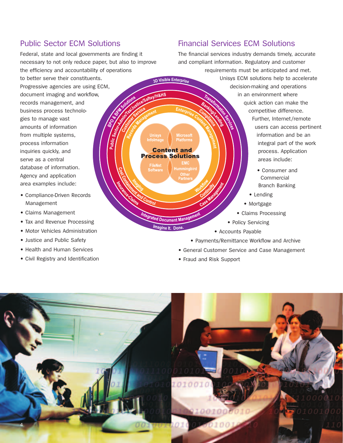# Public Sector ECM Solutions

Federal, state and local governments are finding it necessary to not only reduce paper, but also to improve the efficiency and accountability of operations to better serve their constituents. Progressive agencies are using ECM, document imaging and workflow,

Public

records management, and business process technologies to manage vast amounts of information from multiple systems, process information inquiries quickly, and serve as a central database of information. Agency and application area examples include:

- Compliance-Driven Records Management
- Claims Management
- Tax and Revenue Processing
- Motor Vehicles Administration
- Justice and Public Safety
- Health and Human Services
- Civil Registry and Identification

Financial Services ECM Solutions

The financial services industry demands timely, accurate and compliant information. Regulatory and customer requirements must be anticipated and met. Unisys ECM solutions help to accelerate 3D Visible Enterprise decision-making and operations VIH&HS in an environment where quick action can make the  $Ent_{\odot}$ competitive difference. Further, Internet/remote users can access pertinent information and be an Unisys<br>Infolmag **Platforms** integral part of the work **Content and** process. Application **Process Solutions** areas include: rilenet<br>Softwar • Consumer and Commercial Branch Banking • Lending • Mortgage • Claims Processing Integrated Document Mana • Policy Servicing Imagine It. Done • Accounts Payable • Payments/Remittance Workflow and Archive

- General Customer Service and Case Management
- Fraud and Risk Support

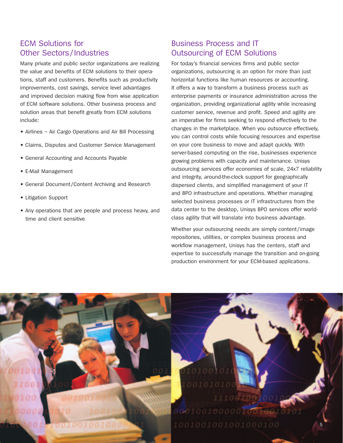## ECM Solutions for Other Sectors/Industries

Many private and public sector organizations are realizing the value and benefits of ECM solutions to their operations, staff and customers. Benefits such as productivity improvements, cost savings, service level advantages and improved decision making flow from wise application of ECM software solutions. Other business process and solution areas that benefit greatly from ECM solutions include:

- Airlines Air Cargo Operations and Air Bill Processing
- Claims, Disputes and Customer Service Management
- General Accounting and Accounts Payable
- E-Mail Management
- General Document/Content Archiving and Research
- Litigation Support
- Any operations that are people and process heavy, and time and client sensitive

## Business Process and IT Outsourcing of ECM Solutions

For today's financial services firms and public sector organizations, outsourcing is an option for more than just horizontal functions like human resources or accounting. It offers a way to transform a business process such as enterprise payments or insurance administration across the organization, providing organizational agility while increasing customer service, revenue and profit. Speed and agility are an imperative for firms seeking to respond effectively to the changes in the marketplace. When you outsource effectively, you can control costs while focusing resources and expertise on your core business to move and adapt quickly. With server-based computing on the rise, businesses experience growing problems with capacity and maintenance. Unisys outsourcing services offer economies of scale, 24x7 reliability and integrity, around-the-clock support for geographically dispersed clients, and simplified management of your IT and BPO infrastructure and operations. Whether managing selected business processes or IT infrastructures from the data center to the desktop, Unisys BPO services offer worldclass agility that will translate into business advantage.

Whether your outsourcing needs are simply content/image repositories, utilities, or complex business process and workflow management, Unisys has the centers, staff and expertise to successfully manage the transition and on-going production environment for your ECM-based applications.

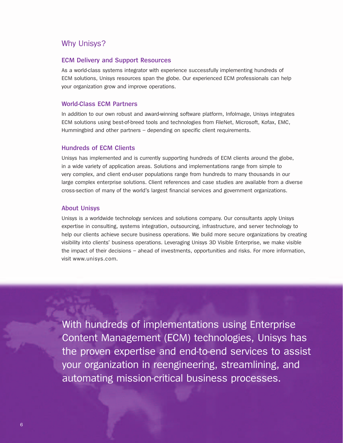#### Why Unisys?

#### **ECM Delivery and Support Resources**

As a world-class systems integrator with experience successfully implementing hundreds of ECM solutions, Unisys resources span the globe. Our experienced ECM professionals can help your organization grow and improve operations.

#### **World-Class ECM Partners**

In addition to our own robust and award-winning software platform, InfoImage, Unisys integrates ECM solutions using best-of-breed tools and technologies from FileNet, Microsoft, Kofax, EMC, Hummingbird and other partners – depending on specific client requirements.

#### **Hundreds of ECM Clients**

Unisys has implemented and is currently supporting hundreds of ECM clients around the globe, in a wide variety of application areas. Solutions and implementations range from simple to very complex, and client end-user populations range from hundreds to many thousands in our large complex enterprise solutions. Client references and case studies are available from a diverse cross-section of many of the world's largest financial services and government organizations.

#### **About Unisys**

Unisys is a worldwide technology services and solutions company. Our consultants apply Unisys expertise in consulting, systems integration, outsourcing, infrastructure, and server technology to help our clients achieve secure business operations. We build more secure organizations by creating visibility into clients' business operations. Leveraging Unisys 3D Visible Enterprise, we make visible the impact of their decisions – ahead of investments, opportunities and risks. For more information, visit www.unisys.com.

With hundreds of implementations using Enterprise Content Management (ECM) technologies, Unisys has the proven expertise and end-to-end services to assist your organization in reengineering, streamlining, and automating mission-critical business processes.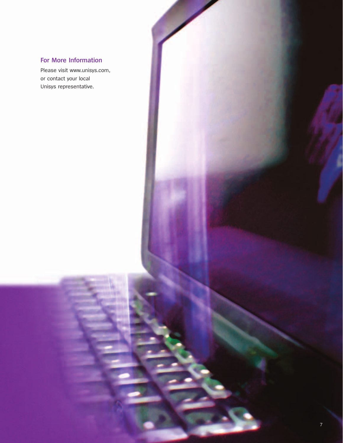#### **For More Information**

Please visit www.unisys.com, or contact your local Unisys representative.